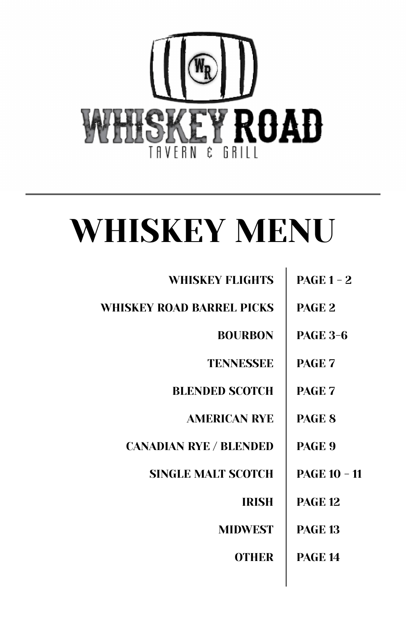

# WHISKEY MENU

| <b>WHISKEY FLIGHTS</b>        | $PAGE 1 - 2$        |
|-------------------------------|---------------------|
| WHISKEY ROAD BARREL PICKS     | PAGE <sub>2</sub>   |
| <b>BOURBON</b>                | <b>PAGE 3-6</b>     |
| <b>TENNESSEE</b>              | <b>PAGE 7</b>       |
| <b>BLENDED SCOTCH</b>         | <b>PAGE 7</b>       |
| <b>AMERICAN RYE</b>           | <b>PAGE 8</b>       |
| <b>CANADIAN RYE / BLENDED</b> | <b>PAGE 9</b>       |
| <b>SINGLE MALT SCOTCH</b>     | <b>PAGE 10 - 11</b> |
| <b>IRISH</b>                  | <b>PAGE 12</b>      |
| <b>MIDWEST</b>                | <b>PAGE 13</b>      |
| <b>OTHER</b>                  | <b>PAGE 14</b>      |
|                               |                     |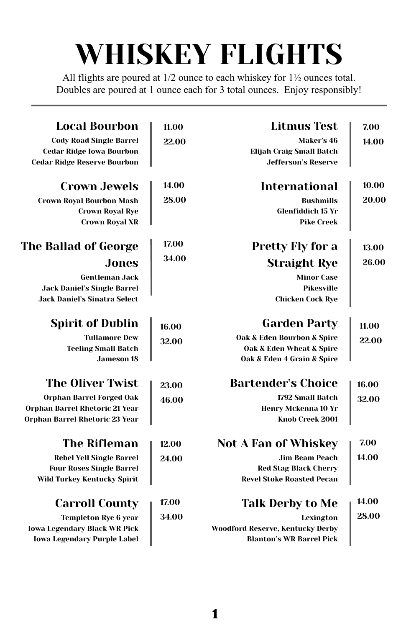## WHISKEY FLIGHTS

All flights are poured at 1/2 ounce to each whiskey for 1½ ounces total. Doubles are poured at 1 ounce each for 3 total ounces. Enjoy responsibly!

| <b>Local Bourbon</b>                | 11.00 | <b>Litmus Test</b>                      | 7.00  |
|-------------------------------------|-------|-----------------------------------------|-------|
| <b>Cody Road Single Barrel</b>      | 22.00 | Maker's 46                              | 14.00 |
| <b>Cedar Ridge Iowa Bourbon</b>     |       | <b>Elijah Craig Small Batch</b>         |       |
| <b>Cedar Ridge Reserve Bourbon</b>  |       | <b>Jefferson's Reserve</b>              |       |
| <b>Crown Jewels</b>                 | 14.00 | International                           | 10.00 |
| <b>Crown Royal Bourbon Mash</b>     | 28.00 | <b>Bushmills</b>                        | 20.00 |
| <b>Crown Royal Rye</b>              |       | <b>Glenfiddich 15 Yr</b>                |       |
| <b>Crown Royal XR</b>               |       | <b>Pike Creek</b>                       |       |
| The Ballad of George                | 17.00 | Pretty Fly for a                        | 13.00 |
| Jones                               | 34.00 | <b>Straight Rye</b>                     | 26.00 |
| <b>Gentleman Jack</b>               |       | <b>Minor Case</b>                       |       |
| <b>Jack Daniel's Single Barrel</b>  |       | Pikesville                              |       |
| <b>Jack Daniel's Sinatra Select</b> |       | <b>Chicken Cock Rye</b>                 |       |
| <b>Spirit of Dublin</b>             | 16.00 | <b>Garden Party</b>                     | 11.00 |
| <b>Tullamore Dew</b>                | 32.00 | Oak & Eden Bourbon & Spire              | 22.00 |
| <b>Teeling Small Batch</b>          |       | Oak & Eden Wheat & Spire                |       |
| <b>Jameson 18</b>                   |       | Oak & Eden 4 Grain & Spire              |       |
| <b>The Oliver Twist</b>             | 23.00 | <b>Bartender's Choice</b>               | 16.00 |
| Orphan Barrel Forged Oak            | 46.00 | 1792 Small Batch                        | 32.00 |
| Orphan Barrel Rhetoric 21 Year      |       | Henry Mckenna 10 Yr                     |       |
| Orphan Barrel Rhetoric 23 Year      |       | Knob Creek 2001                         |       |
| <b>The Rifleman</b>                 | 12.00 | <b>Not A Fan of Whiskey</b>             | 7.00  |
| <b>Rebel Yell Single Barrel</b>     | 24.00 | <b>Jim Beam Peach</b>                   | 14.00 |
| <b>Four Roses Single Barrel</b>     |       | <b>Red Stag Black Cherry</b>            |       |
| Wild Turkey Kentucky Spirit         |       | <b>Revel Stoke Roasted Pecan</b>        |       |
| <b>Carroll County</b>               | 17.00 | <b>Talk Derby to Me</b>                 | 14.00 |
| <b>Templeton Rye 6 year</b>         | 34.00 | Lexington                               | 28.00 |
| <b>Iowa Legendary Black WR Pick</b> |       | <b>Woodford Reserve, Kentucky Derby</b> |       |
| <b>Iowa Legendary Purple Label</b>  |       | <b>Blanton's WR Barrel Pick</b>         |       |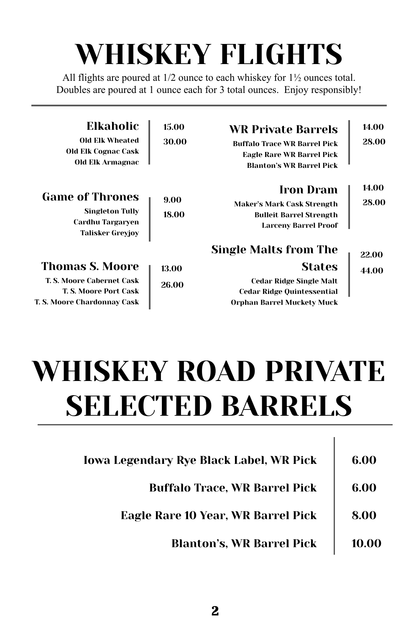## WHISKEY FLIGHTS

All flights are poured at 1/2 ounce to each whiskey for 1½ ounces total. Doubles are poured at 1 ounce each for 3 total ounces. Enjoy responsibly!

| Elkaholic<br>Old Elk Wheated<br><b>Old Elk Cognac Cask</b><br>Old Elk Armagnac                  | 15.00<br>30.00 | <b>WR Private Barrels</b><br><b>Buffalo Trace WR Barrel Pick</b><br>Eagle Rare WR Barrel Pick<br><b>Blanton's WR Barrel Pick</b> | 14.00<br>28.00 |
|-------------------------------------------------------------------------------------------------|----------------|----------------------------------------------------------------------------------------------------------------------------------|----------------|
| <b>Game of Thrones</b><br><b>Singleton Tully</b><br>Cardhu Targaryen<br><b>Talisker Greyjoy</b> | 9.00<br>18.00  | <b>Iron Dram</b><br>Maker's Mark Cask Strength<br><b>Bulleit Barrel Strength</b><br><b>Larceny Barrel Proof</b>                  | 14.00<br>28.00 |
|                                                                                                 |                | <b>Single Malts from The</b>                                                                                                     | 22.00          |
| <b>Thomas S. Moore</b>                                                                          | 13.00          | <b>States</b>                                                                                                                    | 44.00          |
| T. S. Moore Cabernet Cask<br><b>T. S. Moore Port Cask</b><br>T. S. Moore Chardonnay Cask        | 26.00          | <b>Cedar Ridge Single Malt</b><br><b>Cedar Ridge Quintessential</b><br>Orphan Barrel Muckety Muck                                |                |

## WHISKEY ROAD PRIVATE SELECTED BARRELS

| <b>Iowa Legendary Rye Black Label, WR Pick</b> | 6.00  |
|------------------------------------------------|-------|
| <b>Buffalo Trace, WR Barrel Pick</b>           | 6.00  |
| Eagle Rare 10 Year, WR Barrel Pick             | 8.00  |
| <b>Blanton's, WR Barrel Pick</b>               | 10.00 |

L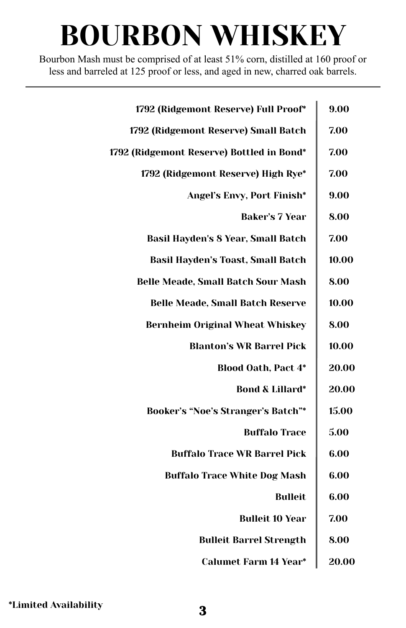Bourbon Mash must be comprised of at least 51% corn, distilled at 160 proof or less and barreled at 125 proof or less, and aged in new, charred oak barrels.

| 9.00  | 1792 (Ridgemont Reserve) Full Proof*      |
|-------|-------------------------------------------|
| 7.00  | 1792 (Ridgemont Reserve) Small Batch      |
| 7.00  | 1792 (Ridgemont Reserve) Bottled in Bond* |
| 7.00  | 1792 (Ridgemont Reserve) High Rye*        |
| 9.00  | Angel's Envy, Port Finish*                |
| 8.00  | <b>Baker's 7 Year</b>                     |
| 7.00  | <b>Basil Hayden's 8 Year, Small Batch</b> |
| 10.00 | <b>Basil Hayden's Toast, Small Batch</b>  |
| 8.00  | <b>Belle Meade, Small Batch Sour Mash</b> |
| 10.00 | <b>Belle Meade, Small Batch Reserve</b>   |
| 8.00  | <b>Bernheim Original Wheat Whiskey</b>    |
| 10.00 | <b>Blanton's WR Barrel Pick</b>           |
| 20.00 | <b>Blood Oath, Pact 4*</b>                |
| 20.00 | <b>Bond &amp; Lillard*</b>                |
| 15.00 | Booker's "Noe's Stranger's Batch"*        |
| 5.00  | <b>Buffalo Trace</b>                      |
| 6.00  | <b>Buffalo Trace WR Barrel Pick</b>       |
| 6.00  | <b>Buffalo Trace White Dog Mash</b>       |
| 6.00  | <b>Bulleit</b>                            |
| 7.00  | <b>Bulleit 10 Year</b>                    |
| 8.00  | <b>Bulleit Barrel Strength</b>            |
| 20.00 | <b>Calumet Farm 14 Year*</b>              |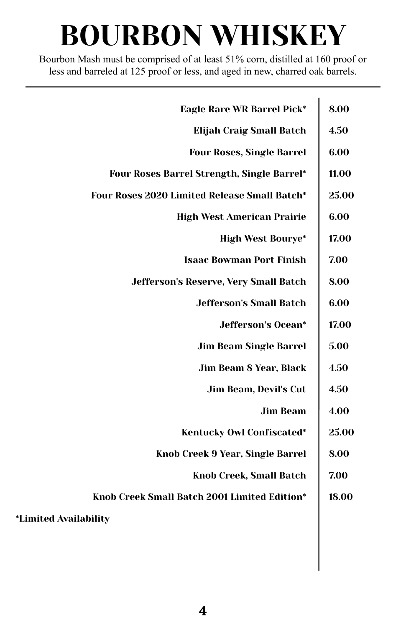Bourbon Mash must be comprised of at least 51% corn, distilled at 160 proof or less and barreled at 125 proof or less, and aged in new, charred oak barrels.

| <b>Eagle Rare WR Barrel Pick*</b>            | 8.00  |
|----------------------------------------------|-------|
| <b>Elijah Craig Small Batch</b>              | 4.50  |
| <b>Four Roses, Single Barrel</b>             | 6.00  |
| Four Roses Barrel Strength, Single Barrel*   | 11.00 |
| Four Roses 2020 Limited Release Small Batch* | 25.00 |
| <b>High West American Prairie</b>            | 6.00  |
| <b>High West Bourye*</b>                     | 17.00 |
| <b>Isaac Bowman Port Finish</b>              | 7.00  |
| Jefferson's Reserve, Very Small Batch        | 8.00  |
| <b>Jefferson's Small Batch</b>               | 6.00  |
| <b>Jefferson's Ocean*</b>                    | 17.00 |
| <b>Jim Beam Single Barrel</b>                | 5.00  |
| Jim Beam 8 Year, Black                       | 4.50  |
| Jim Beam, Devil's Cut                        | 4.50  |
| <b>Jim Beam</b>                              | 4.00  |
| Kentucky Owl Confiscated*                    | 25.00 |
| Knob Creek 9 Year, Single Barrel             | 8.00  |
| <b>Knob Creek, Small Batch</b>               | 7.00  |
| Knob Creek Small Batch 2001 Limited Edition* | 18.00 |
| <i>*Limited Availability</i>                 |       |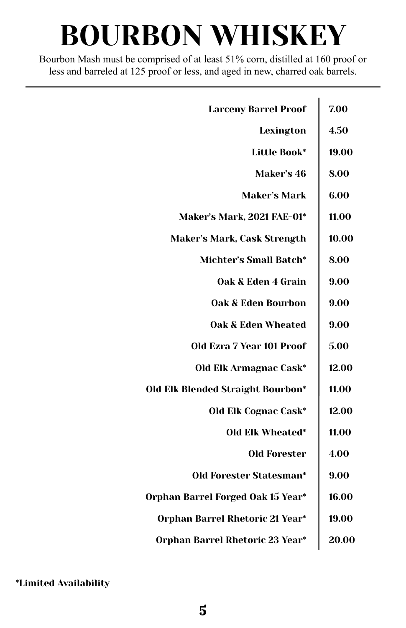Bourbon Mash must be comprised of at least 51% corn, distilled at 160 proof or less and barreled at 125 proof or less, and aged in new, charred oak barrels.

| <b>Larceny Barrel Proof</b>       | 7.00  |
|-----------------------------------|-------|
| Lexington                         | 4.50  |
| Little Book*                      | 19.00 |
| Maker's 46                        | 8.00  |
| Maker's Mark                      | 6.00  |
| Maker's Mark, 2021 FAE-01*        | 11.00 |
| Maker's Mark, Cask Strength       | 10.00 |
| Michter's Small Batch*            | 8.00  |
| Oak & Eden 4 Grain                | 9.00  |
| <b>Oak &amp; Eden Bourbon</b>     | 9.00  |
| Oak & Eden Wheated                | 9.00  |
| Old Ezra 7 Year 101 Proof         | 5.00  |
| Old Elk Armagnac Cask*            | 12.00 |
| Old Elk Blended Straight Bourbon* | 11.00 |
| <b>Old Elk Cognac Cask*</b>       | 12.00 |
| Old Elk Wheated*                  | 11.00 |
| <b>Old Forester</b>               | 4.00  |
| Old Forester Statesman*           | 9.00  |
| Orphan Barrel Forged Oak 15 Year* | 16.00 |
| Orphan Barrel Rhetoric 21 Year*   | 19.00 |
| Orphan Barrel Rhetoric 23 Year*   | 20.00 |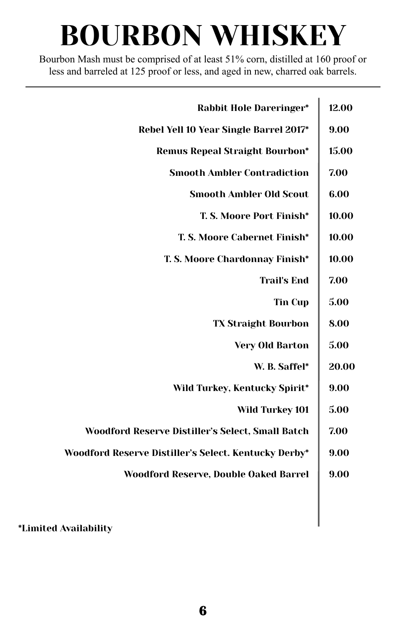Bourbon Mash must be comprised of at least 51% corn, distilled at 160 proof or less and barreled at 125 proof or less, and aged in new, charred oak barrels.

| <b>Rabbit Hole Dareringer*</b>                       | 12.00 |
|------------------------------------------------------|-------|
| Rebel Yell 10 Year Single Barrel 2017*               | 9.00  |
| <b>Remus Repeal Straight Bourbon*</b>                | 15.00 |
| <b>Smooth Ambler Contradiction</b>                   | 7.00  |
| <b>Smooth Ambler Old Scout</b>                       | 6.00  |
| T. S. Moore Port Finish*                             | 10.00 |
| T. S. Moore Cabernet Finish*                         | 10.00 |
| T. S. Moore Chardonnay Finish*                       | 10.00 |
| <b>Trail's End</b>                                   | 7.00  |
| <b>Tin Cup</b>                                       | 5.00  |
| <b>TX Straight Bourbon</b>                           | 8.00  |
| <b>Very Old Barton</b>                               | 5.00  |
| W. B. Saffel*                                        | 20.00 |
| Wild Turkey, Kentucky Spirit*                        | 9.00  |
| <b>Wild Turkey 101</b>                               | 5.00  |
| Woodford Reserve Distiller's Select, Small Batch     | 7.00  |
| Woodford Reserve Distiller's Select. Kentucky Derby* | 9.00  |
| Woodford Reserve, Double Oaked Barrel                | 9.00  |
|                                                      |       |
|                                                      |       |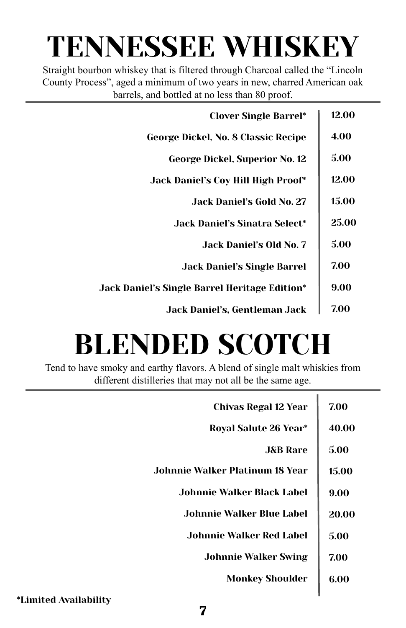#### TENNESSEE WHISKEY

Straight bourbon whiskey that is filtered through Charcoal called the "Lincoln County Process", aged a minimum of two years in new, charred American oak barrels, and bottled at no less than 80 proof.

| <b>Clover Single Barrel*</b>                         | 12.00 |
|------------------------------------------------------|-------|
| George Dickel, No. 8 Classic Recipe                  | 4.00  |
| George Dickel, Superior No. 12                       | 5.00  |
| <b>Jack Daniel's Coy Hill High Proof*</b>            | 12.00 |
| Jack Daniel's Gold No. 27                            | 15.00 |
| <b>Jack Daniel's Sinatra Select*</b>                 | 25.00 |
| Jack Daniel's Old No. 7                              | 5.00  |
| <b>Jack Daniel's Single Barrel</b>                   | 7.00  |
| <b>Jack Daniel's Single Barrel Heritage Edition*</b> | 9.00  |
| Jack Daniel's, Gentleman Jack                        | 7.00  |

## BLENDED SCOTCH

Tend to have smoky and earthy flavors. A blend of single malt whiskies from different distilleries that may not all be the same age.

| <b>Chivas Regal 12 Year</b>     | 7.00  |
|---------------------------------|-------|
| Royal Salute 26 Year*           | 40.00 |
| <b>J&amp;B</b> Rare             | 5.00  |
| Johnnie Walker Platinum 18 Year | 15.00 |
| Johnnie Walker Black Label.     | 9.00  |
| Johnnie Walker Blue Label       | 20.00 |
| Johnnie Walker Red Label        | 5.00  |
| <b>Johnnie Walker Swing</b>     | 7.00  |
| <b>Monkey Shoulder</b>          | 6.00  |
|                                 |       |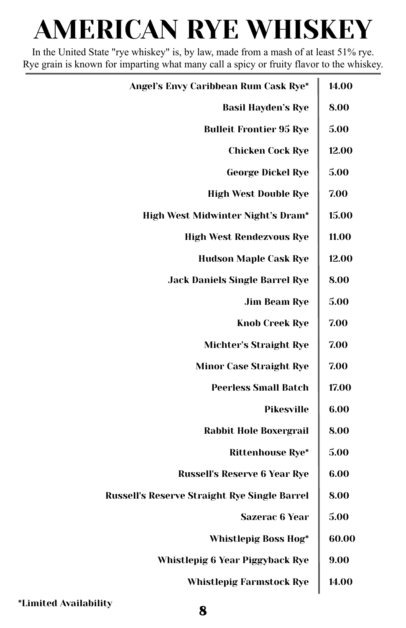### AMERICAN RYE WHISKEY

In the United State "rye whiskey" is, by law, made from a mash of at least 51% rye. Rye grain is known for imparting what many call a spicy or fruity flavor to the whiskey.

| 14.00 |
|-------|
| 8.00  |
| 5.00  |
| 12.00 |
| 5.00  |
| 7.00  |
| 15.00 |
| 11.00 |
| 12.00 |
| 8.00  |
| 5.00  |
| 7.00  |
| 7.00  |
| 7.00  |
| 17.00 |
| 6.00  |
| 8.00  |
| 5.00  |
| 6.00  |
| 8.00  |
| 5.00  |
| 60.00 |
| 9.00  |
| 14.00 |
|       |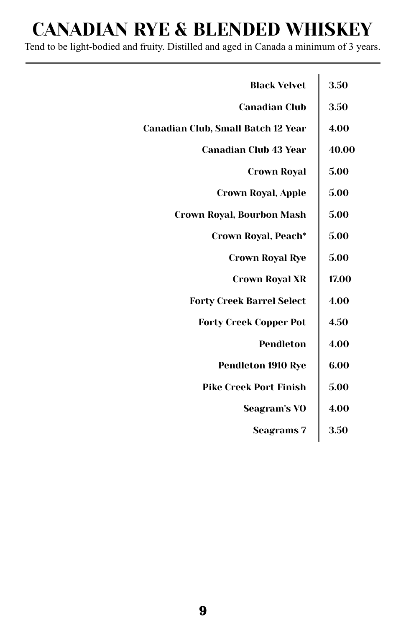#### CANADIAN RYE & BLENDED WHISKEY

Tend to be light-bodied and fruity. Distilled and aged in Canada a minimum of 3 years.

| <b>Black Velvet</b>                | 3.50  |
|------------------------------------|-------|
| <b>Canadian Club</b>               | 3.50  |
| Canadian Club, Small Batch 12 Year | 4.00  |
| <b>Canadian Club 43 Year</b>       | 40.00 |
| Crown Roval                        | 5.00  |
| <b>Crown Royal, Apple</b>          | 5.00  |
| Crown Royal, Bourbon Mash          | 5.00  |
| Crown Royal, Peach*                | 5.00  |
| Crown Royal Rye                    | 5.00  |
| <b>Crown Royal XR</b>              | 17.00 |
| <b>Forty Creek Barrel Select</b>   | 4.00  |
| <b>Forty Creek Copper Pot</b>      | 4.50  |
| Pendleton                          | 4.00  |
| <b>Pendleton 1910 Rye</b>          | 6.00  |
| <b>Pike Creek Port Finish</b>      | 5.00  |
| <b>Seagram's VO</b>                | 4.00  |
| <b>Seagrams</b> 7                  | 3.50  |
|                                    |       |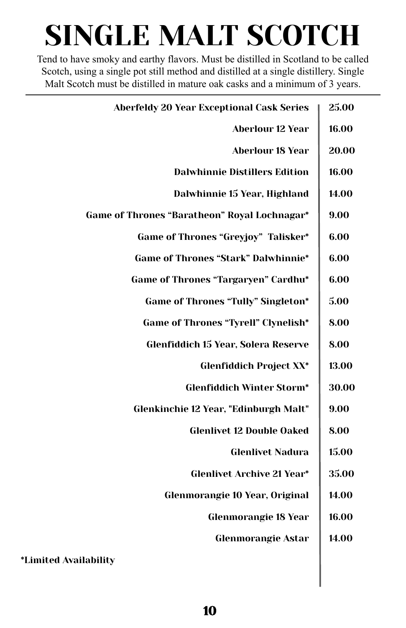## SINGLE MALT SCOTCH

Tend to have smoky and earthy flavors. Must be distilled in Scotland to be called Scotch, using a single pot still method and distilled at a single distillery. Single Malt Scotch must be distilled in mature oak casks and a minimum of 3 years.

| <b>Aberfeldy 20 Year Exceptional Cask Series</b> | 25.00 |
|--------------------------------------------------|-------|
| <b>Aberlour 12 Year</b>                          | 16.00 |
| <b>Aberlour 18 Year</b>                          | 20.00 |
| <b>Dalwhinnie Distillers Edition</b>             | 16.00 |
| Dalwhinnie 15 Year, Highland                     | 14.00 |
| Game of Thrones "Baratheon" Royal Lochnagar*     | 9.00  |
| Game of Thrones "Greyjoy" Talisker*              | 6.00  |
| <b>Game of Thrones "Stark" Dalwhinnie*</b>       | 6.00  |
| Game of Thrones "Targaryen" Cardhu*              | 6.00  |
| <b>Game of Thrones "Tully" Singleton*</b>        | 5.00  |
| <b>Game of Thrones "Tyrell" Clynelish*</b>       | 8.00  |
| Glenfiddich 15 Year, Solera Reserve              | 8.00  |
| <b>Glenfiddich Project XX*</b>                   | 13.00 |
| <b>Glenfiddich Winter Storm*</b>                 | 30.00 |
| Glenkinchie 12 Year, "Edinburgh Malt"            | 9.00  |
| <b>Glenlivet 12 Double Oaked</b>                 | 8.00  |
| <b>Glenlivet Nadura</b>                          | 15.00 |
| <b>Glenlivet Archive 21 Year*</b>                | 35.00 |
| Glenmorangie 10 Year, Original                   | 14.00 |
| <b>Glenmorangie 18 Year</b>                      | 16.00 |
| <b>Glenmorangie Astar</b>                        | 14.00 |
| <i>*Limited Availability</i>                     |       |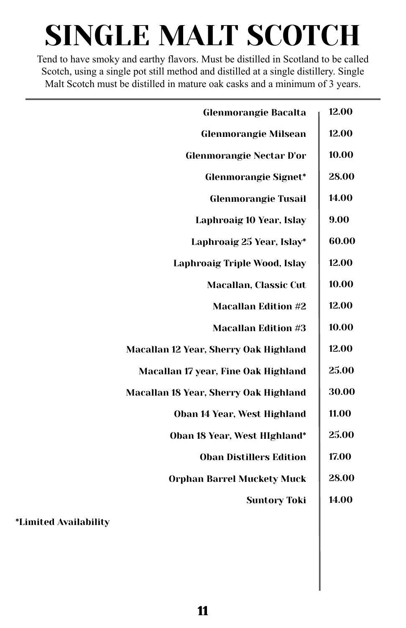## SINGLE MALT SCOTCH

Tend to have smoky and earthy flavors. Must be distilled in Scotland to be called Scotch, using a single pot still method and distilled at a single distillery. Single Malt Scotch must be distilled in mature oak casks and a minimum of 3 years.

| <b>Glenmorangie Bacalta</b>           | 12.00 |
|---------------------------------------|-------|
| <b>Glenmorangie Milsean</b>           | 12.00 |
| <b>Glenmorangie Nectar D'or</b>       | 10.00 |
| <b>Glenmorangie Signet*</b>           | 28.00 |
| <b>Glenmorangie Tusail</b>            | 14.00 |
| Laphroaig 10 Year, Islay              | 9.00  |
| Laphroaig 25 Year, Islay*             | 60.00 |
| Laphroaig Triple Wood, Islay          | 12.00 |
| Macallan, Classic Cut                 | 10.00 |
| <b>Macallan Edition #2</b>            | 12.00 |
| <b>Macallan Edition #3</b>            | 10.00 |
| Macallan 12 Year, Sherry Oak Highland | 12.00 |
| Macallan 17 year, Fine Oak Highland   | 25.00 |
| Macallan 18 Year, Sherry Oak Highland | 30.00 |
| Oban 14 Year, West Highland           | 11.00 |
| Oban 18 Year, West HIghland*          | 25.00 |
| <b>Oban Distillers Edition</b>        | 17.00 |
| <b>Orphan Barrel Muckety Muck</b>     | 28.00 |
| <b>Suntory Toki</b>                   | 14.00 |
| <i>*Limited Availability</i>          |       |
|                                       |       |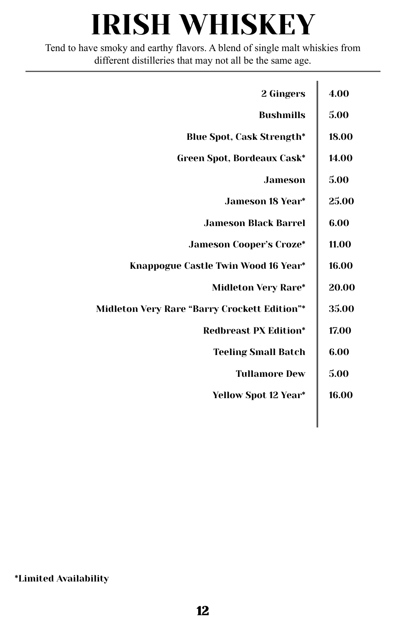## IRISH WHISKEY

Tend to have smoky and earthy flavors. A blend of single malt whiskies from different distilleries that may not all be the same age.

| 2 Gingers                                           | 4.00  |
|-----------------------------------------------------|-------|
| <b>Bushmills</b>                                    | 5.00  |
| <b>Blue Spot, Cask Strength*</b>                    | 18.00 |
| Green Spot, Bordeaux Cask*                          | 14.00 |
| <b>Jameson</b>                                      | 5.00  |
| <b>Jameson 18 Year*</b>                             | 25.00 |
| <b>Jameson Black Barrel</b>                         | 6.00  |
| <b>Jameson Cooper's Croze*</b>                      | 11.00 |
| Knappogue Castle Twin Wood 16 Year*                 | 16.00 |
| <b>Midleton Very Rare*</b>                          | 20.00 |
| <b>Midleton Very Rare "Barry Crockett Edition"*</b> | 35.00 |
| <b>Redbreast PX Edition*</b>                        | 17.00 |
| <b>Teeling Small Batch</b>                          | 6.00  |
| <b>Tullamore Dew</b>                                | 5.00  |
| Yellow Spot 12 Year*                                | 16.00 |
|                                                     |       |
|                                                     |       |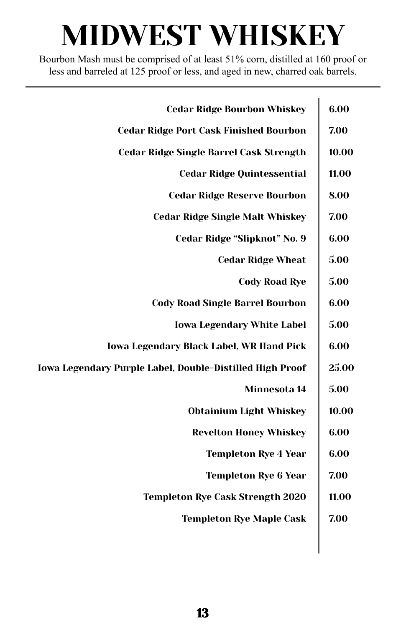## MIDWEST WHISKEY

Bourbon Mash must be comprised of at least 51% corn, distilled at 160 proof or less and barreled at 125 proof or less, and aged in new, charred oak barrels.

| <b>Cedar Ridge Bourbon Whiskey</b>                       | 6.00  |
|----------------------------------------------------------|-------|
| <b>Cedar Ridge Port Cask Finished Bourbon</b>            | 7.00  |
| <b>Cedar Ridge Single Barrel Cask Strength</b>           | 10.00 |
| <b>Cedar Ridge Quintessential</b>                        | 11.00 |
| <b>Cedar Ridge Reserve Bourbon</b>                       | 8.00  |
| <b>Cedar Ridge Single Malt Whiskey</b>                   | 7.00  |
| Cedar Ridge "Slipknot" No. 9                             | 6.00  |
| <b>Cedar Ridge Wheat</b>                                 | 5.00  |
| <b>Cody Road Rye</b>                                     | 5.00  |
| <b>Cody Road Single Barrel Bourbon</b>                   | 6.00  |
| <b>Iowa Legendary White Label</b>                        | 5.00  |
| <b>Iowa Legendary Black Label, WR Hand Pick</b>          | 6.00  |
| Iowa Legendary Purple Label, Double-Distilled High Proof | 25.00 |
| Minnesota 14                                             | 5.00  |
| <b>Obtainium Light Whiskey</b>                           | 10.00 |
| <b>Revelton Honey Whiskey</b>                            | 6.00  |
| <b>Templeton Rye 4 Year</b>                              | 6.00  |
| <b>Templeton Rye 6 Year</b>                              | 7.00  |
| <b>Templeton Rye Cask Strength 2020</b>                  | 11.00 |
| <b>Templeton Rye Maple Cask</b>                          | 7.00  |
|                                                          |       |